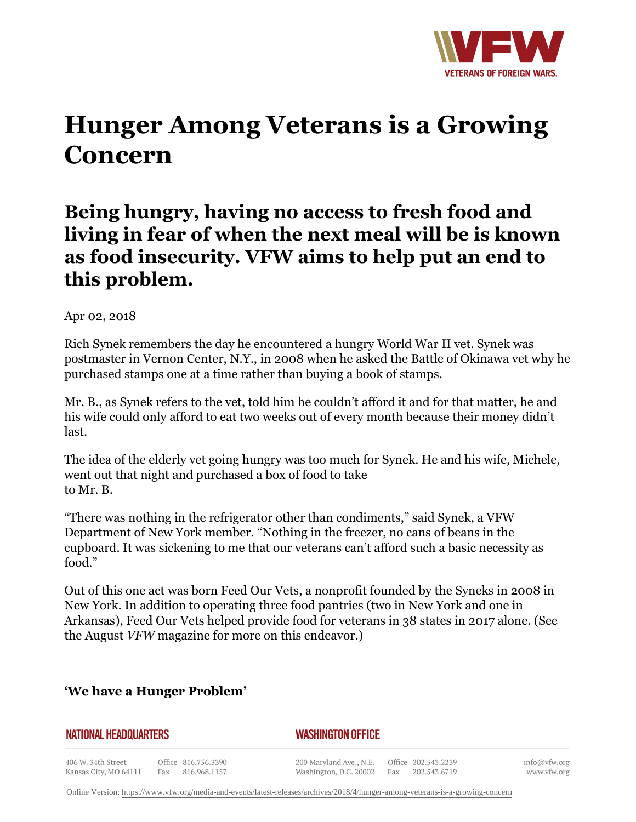

# **Hunger Among Veterans is a Growing Concern**

# **Being hungry, having no access to fresh food and living in fear of when the next meal will be is known as food insecurity. VFW aims to help put an end to this problem.**

Apr 02, 2018

Rich Synek remembers the day he encountered a hungry World War II vet. Synek was postmaster in Vernon Center, N.Y., in 2008 when he asked the Battle of Okinawa vet why he purchased stamps one at a time rather than buying a book of stamps.

Mr. B., as Synek refers to the vet, told him he couldn't afford it and for that matter, he and his wife could only afford to eat two weeks out of every month because their money didn't last.

The idea of the elderly vet going hungry was too much for Synek. He and his wife, Michele, went out that night and purchased a box of food to take to Mr. B.

"There was nothing in the refrigerator other than condiments," said Synek, a VFW Department of New York member. "Nothing in the freezer, no cans of beans in the cupboard. It was sickening to me that our veterans can't afford such a basic necessity as food."

Out of this one act was born Feed Our Vets, a nonprofit founded by the Syneks in 2008 in New York. In addition to operating three food pantries (two in New York and one in Arkansas), Feed Our Vets helped provide food for veterans in 38 states in 2017 alone. (See the August *VFW* magazine for more on this endeavor.)

## **'We have a Hunger Problem'**

#### **NATIONAL HEADQUARTERS**

### *WASHINGTON OFFICE*

406 W. 34th Street Office 816.756.3390 Kansas City, MO 64111 Fax 816.968.1157

200 Maryland Ave., N.E. Washington, D.C. 20002

Office 202.543.2239 Fax 202.543.6719

info@vfw.org www.vfw.org

Online Version:<https://www.vfw.org/media-and-events/latest-releases/archives/2018/4/hunger-among-veterans-is-a-growing-concern>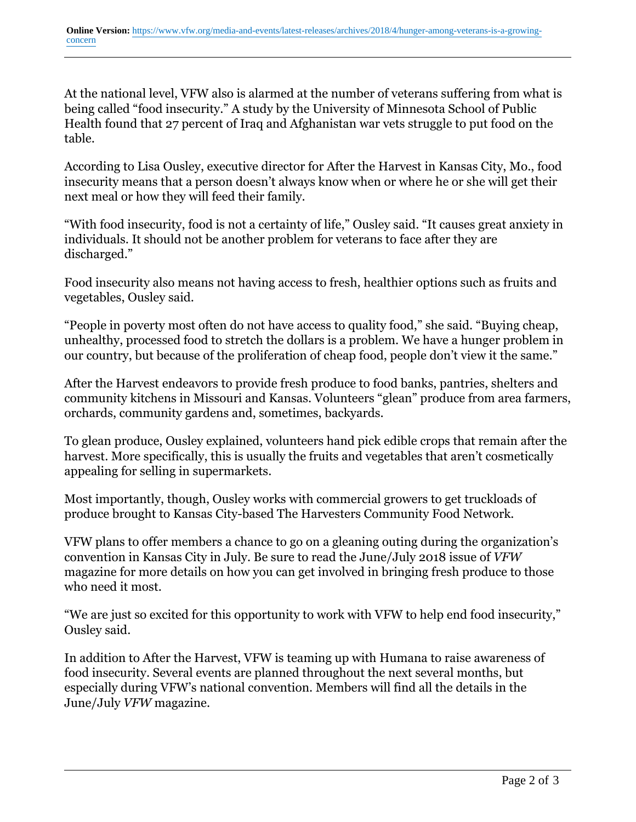At the national level, VFW also is alarmed at the number of veterans suffering from what is being called "food insecurity." A study by the University of Minnesota School of Public Health found that 27 percent of Iraq and Afghanistan war vets struggle to put food on the table.

According to Lisa Ousley, executive director for After the Harvest in Kansas City, Mo., food insecurity means that a person doesn't always know when or where he or she will get their next meal or how they will feed their family.

"With food insecurity, food is not a certainty of life," Ousley said. "It causes great anxiety in individuals. It should not be another problem for veterans to face after they are discharged."

Food insecurity also means not having access to fresh, healthier options such as fruits and vegetables, Ousley said.

"People in poverty most often do not have access to quality food," she said. "Buying cheap, unhealthy, processed food to stretch the dollars is a problem. We have a hunger problem in our country, but because of the proliferation of cheap food, people don't view it the same."

After the Harvest endeavors to provide fresh produce to food banks, pantries, shelters and community kitchens in Missouri and Kansas. Volunteers "glean" produce from area farmers, orchards, community gardens and, sometimes, backyards.

To glean produce, Ousley explained, volunteers hand pick edible crops that remain after the harvest. More specifically, this is usually the fruits and vegetables that aren't cosmetically appealing for selling in supermarkets.

Most importantly, though, Ousley works with commercial growers to get truckloads of produce brought to Kansas City-based The Harvesters Community Food Network.

VFW plans to offer members a chance to go on a gleaning outing during the organization's convention in Kansas City in July. Be sure to read the June/July 2018 issue of *VFW* magazine for more details on how you can get involved in bringing fresh produce to those who need it most.

"We are just so excited for this opportunity to work with VFW to help end food insecurity," Ousley said.

In addition to After the Harvest, VFW is teaming up with Humana to raise awareness of food insecurity. Several events are planned throughout the next several months, but especially during VFW's national convention. Members will find all the details in the June/July *VFW* magazine.